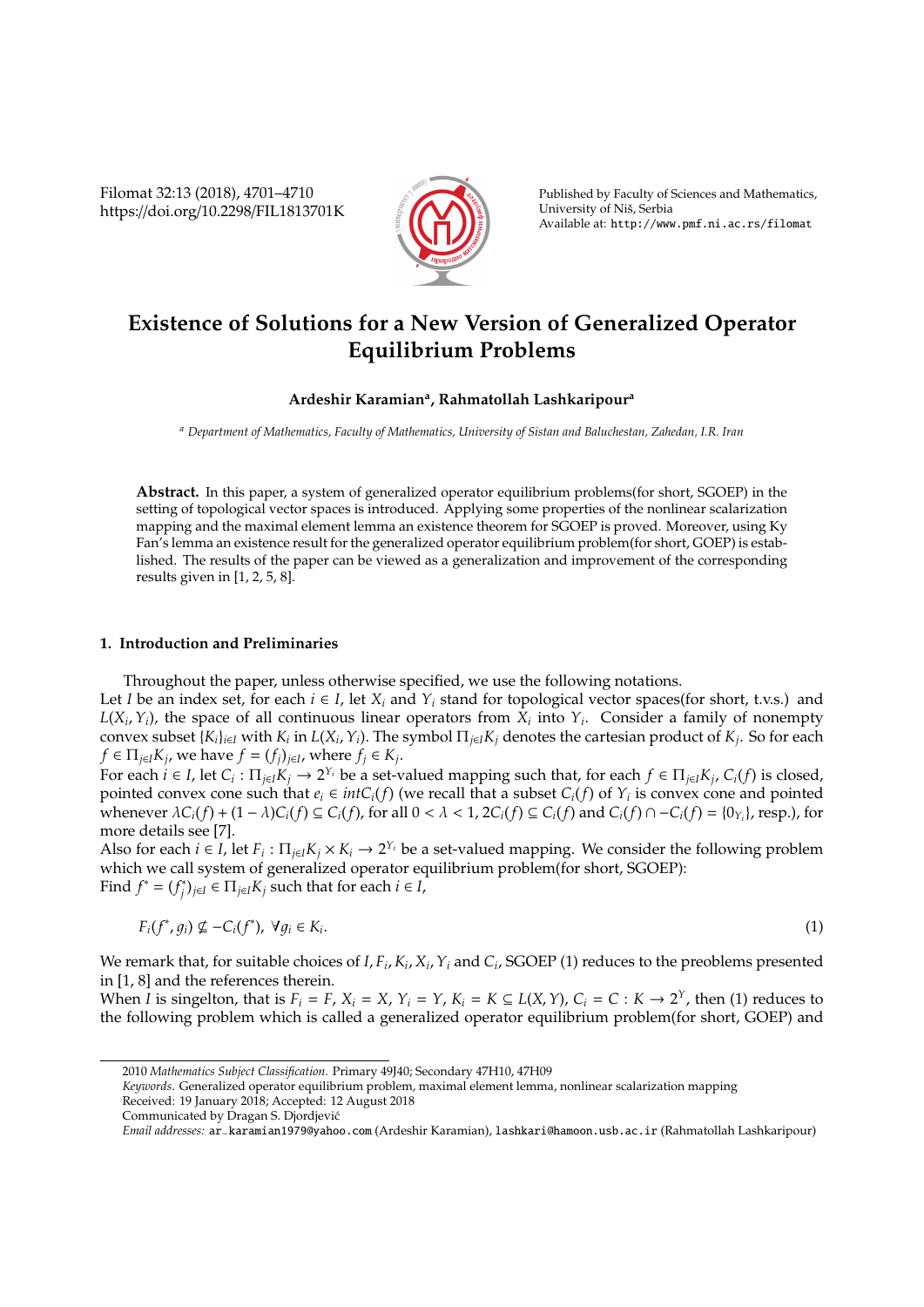Filomat 32:13 (2018), 4701–4710 https://doi.org/10.2298/FIL1813701K



Published by Faculty of Sciences and Mathematics, University of Nis, Serbia ˇ Available at: http://www.pmf.ni.ac.rs/filomat

# **Existence of Solutions for a New Version of Generalized Operator Equilibrium Problems**

## **Ardeshir Karamian<sup>a</sup> , Rahmatollah Lashkaripour<sup>a</sup>**

*<sup>a</sup> Department of Mathematics, Faculty of Mathematics, University of Sistan and Baluchestan, Zahedan, I.R. Iran*

**Abstract.** In this paper, a system of generalized operator equilibrium problems(for short, SGOEP) in the setting of topological vector spaces is introduced. Applying some properties of the nonlinear scalarization mapping and the maximal element lemma an existence theorem for SGOEP is proved. Moreover, using Ky Fan's lemma an existence result for the generalized operator equilibrium problem(for short, GOEP) is established. The results of the paper can be viewed as a generalization and improvement of the corresponding results given in [1, 2, 5, 8].

### **1. Introduction and Preliminaries**

Throughout the paper, unless otherwise specified, we use the following notations.

Let *I* be an index set, for each  $i \in I$ , let  $X_i$  and  $Y_i$  stand for topological vector spaces(for short, t.v.s.) and  $L(X_i, Y_i)$ , the space of all continuous linear operators from  $X_i$  into  $Y_i$ . Consider a family of nonempty convex subset  $\{K_i\}_{i\in I}$  with  $K_i$  in  $L(X_i, Y_i)$ . The symbol  $\Pi_{j\in I}K_j$  denotes the cartesian product of  $K_j$ . So for each  $f \in \Pi_{j \in I} K_j$ , we have  $f = (f_j)_{j \in I}$ , where  $f_j \in K_j$ .

For each  $i \in I$ , let  $C_i : \Pi_{j \in I} K_j \to 2^{Y_i}$  be a set-valued mapping such that, for each  $f \in \Pi_{j \in I} K_j$ ,  $C_i(f)$  is closed, pointed convex cone such that  $e_i \in intC_i(f)$  (we recall that a subset  $C_i(f)$  of  $Y_i$  is convex cone and pointed whenever  $\lambda C_i(f) + (1 - \lambda)C_i(f) \subseteq C_i(f)$ , for all  $0 < \lambda < 1$ ,  $2C_i(f) \subseteq C_i(f)$  and  $C_i(f) \cap -C_i(f) = \{0_{Y_i}\}\$ , resp.), for more details see [7].

Also for each  $i \in I$ , let  $F_i: \Pi_{j \in I} K_j \times K_i \to 2^{Y_i}$  be a set-valued mapping. We consider the following problem which we call system of generalized operator equilibrium problem(for short, SGOEP): Find  $f^* = (f_i^*)$ *j* )*j*∈*<sup>I</sup>* ∈ Π*j*∈*IK<sup>j</sup>* such that for each *i* ∈ *I*,

$$
F_i(f^*, g_i) \nsubseteq -C_i(f^*), \ \forall g_i \in K_i. \tag{1}
$$

We remark that, for suitable choices of  $I, F_i, K_i, X_i, Y_i$  and  $C_i$ , SGOEP (1) reduces to the preoblems presented in [1, 8] and the references therein.

When *I* is singelton, that is  $F_i = F$ ,  $X_i = X$ ,  $Y_i = Y$ ,  $K_i = K \subseteq L(X, Y)$ ,  $C_i = C : K \rightarrow 2^Y$ , then (1) reduces to the following problem which is called a generalized operator equilibrium problem(for short, GOEP) and

<sup>2010</sup> *Mathematics Subject Classification*. Primary 49J40; Secondary 47H10, 47H09

*Keywords*. Generalized operator equilibrium problem, maximal element lemma, nonlinear scalarization mapping

Received: 19 January 2018; Accepted: 12 August 2018

Communicated by Dragan S. Djordjevic´

*Email addresses:* ar−karamian1979@yahoo.com (Ardeshir Karamian), lashkari@hamoon.usb.ac.ir (Rahmatollah Lashkaripour)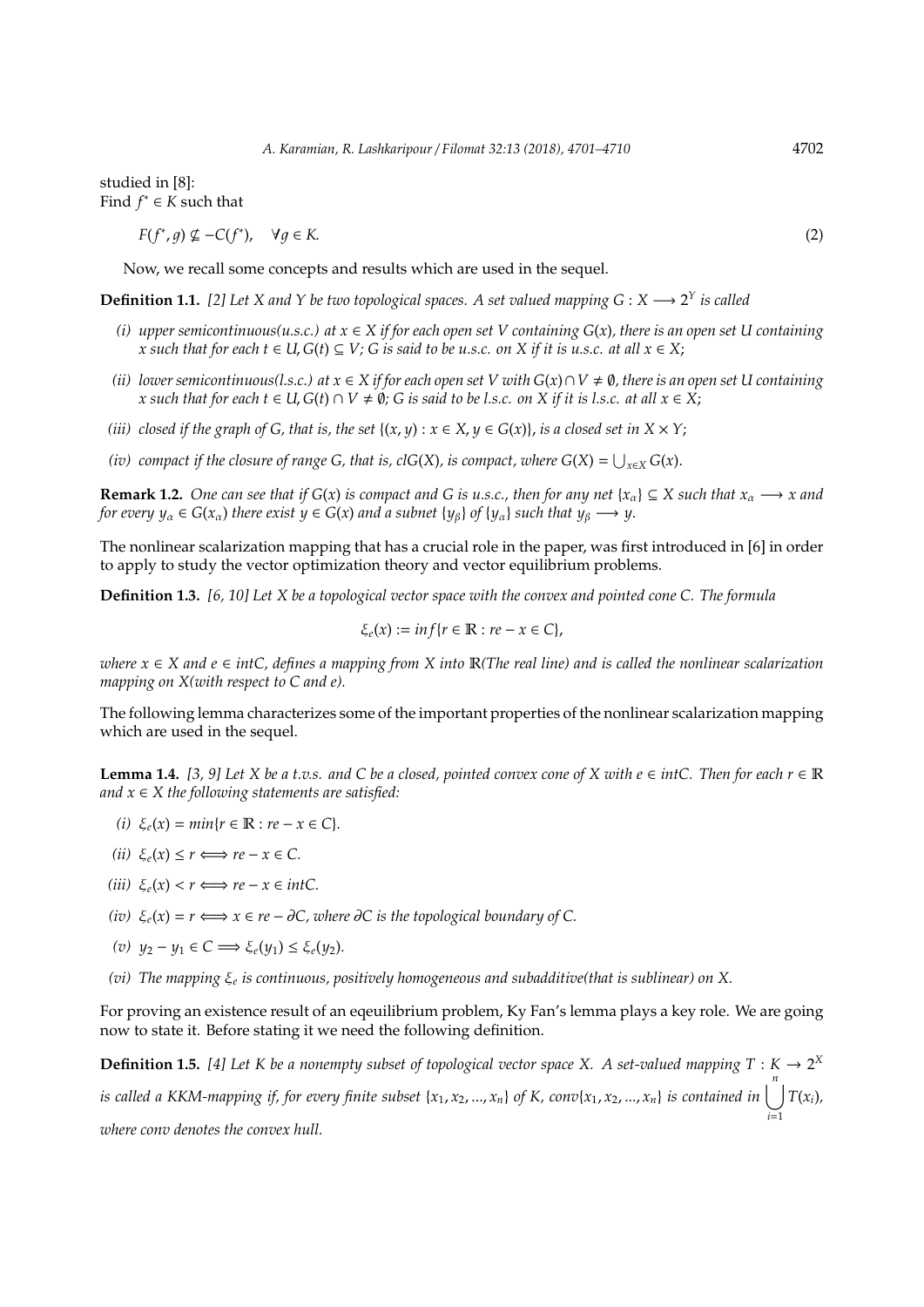studied in [8]: Find  $f^* \in K$  such that

$$
F(f^*, g) \nsubseteq -C(f^*), \quad \forall g \in K. \tag{2}
$$

Now, we recall some concepts and results which are used in the sequel.

**Definition 1.1.** [2] Let X and Y be two topological spaces. A set valued mapping  $G: X \longrightarrow 2^Y$  is called

- *(i) upper semicontinuous(u.s.c.) at x* ∈ *X if for each open set V containing G*(*x*)*, there is an open set U containing x* such that for each  $t \in U$ ,  $G(t) \subseteq V$ ;  $G$  is said to be u.s.c. on  $X$  if it is u.s.c. at all  $x \in X$ ;
- *(ii) lower semicontinuous(l.s.c.) at*  $x \in X$  *if for each open set V with*  $G(x) \cap V \neq \emptyset$ , there is an open set U containing *x* such that for each  $t \in U$ ,  $G(t) \cap V \neq \emptyset$ ;  $G$  is said to be l.s.c. on  $X$  if it is l.s.c. at all  $x \in X$ ;
- *(iii)* closed if the graph of G, that is, the set  $\{(x, y) : x \in X, y \in G(x)\}\)$ , is a closed set in  $X \times Y$ ;
- *(iv)* compact if the closure of range G, that is, clG(X), is compact, where  $G(X) = \bigcup_{x \in X} G(x)$ .

**Remark 1.2.** *One can see that if*  $G(x)$  *is compact and* G *is u.s.c., then for any net*  $\{x_\alpha\} \subseteq X$  *such that*  $x_\alpha \longrightarrow x$  *and for every*  $y_\alpha \in G(x_\alpha)$  *there exist*  $y \in G(x)$  *and a subnet*  $\{y_\beta\}$  *of*  $\{y_\alpha\}$  *such that*  $y_\beta \longrightarrow y$ .

The nonlinear scalarization mapping that has a crucial role in the paper, was first introduced in [6] in order to apply to study the vector optimization theory and vector equilibrium problems.

**Definition 1.3.** *[6, 10] Let X be a topological vector space with the convex and pointed cone C. The formula*

$$
\xi_e(x) := \inf\{r \in \mathbb{R} : re - x \in C\},\
$$

*where x* ∈ *X and e* ∈ *intC, defines a mapping from X into* R*(The real line) and is called the nonlinear scalarization mapping on X(with respect to C and e).*

The following lemma characterizes some of the important properties of the nonlinear scalarization mapping which are used in the sequel.

**Lemma 1.4.** [3, 9] Let *X* be a t.v.s. and *C* be a closed, pointed convex cone of *X* with  $e ∈ intC$ . Then for each  $r ∈ ℝ$ *and x* ∈ *X the following statements are satisfied:*

- *(i)*  $\xi_e(x) = min{r \in \mathbb{R} : re x \in C}$ .
- $(iii) \xi_e(x) \leq r \Longleftrightarrow re x \in \mathbb{C}.$
- $(iii) \xi_e(x) < r \Longleftrightarrow re x \in intC.$
- *(iv)*  $\xi_e(x) = r \Longleftrightarrow x \in re \partial C$ , where  $\partial C$  is the topological boundary of C.
- *(v)*  $y_2 y_1 \in C$   $\implies$   $\xi_e(y_1) \leq \xi_e(y_2)$ .
- *(vi) The mapping* ξ*<sup>e</sup> is continuous, positively homogeneous and subadditive(that is sublinear) on X.*

For proving an existence result of an eqeuilibrium problem, Ky Fan's lemma plays a key role. We are going now to state it. Before stating it we need the following definition.

**Definition 1.5.** [4] Let K be a nonempty subset of topological vector space X. A set-valued mapping  $T : K \to 2^X$ is called a KKM-mapping if, for every finite subset {x<sub>1</sub>, x<sub>2</sub>, ..., x<sub>n</sub>} of K, conv{x<sub>1</sub>, x<sub>2</sub>, ..., x<sub>n</sub>} is contained in  $\bigcup^{n}T(x_i)$ , *i*=1 *where conv denotes the convex hull.*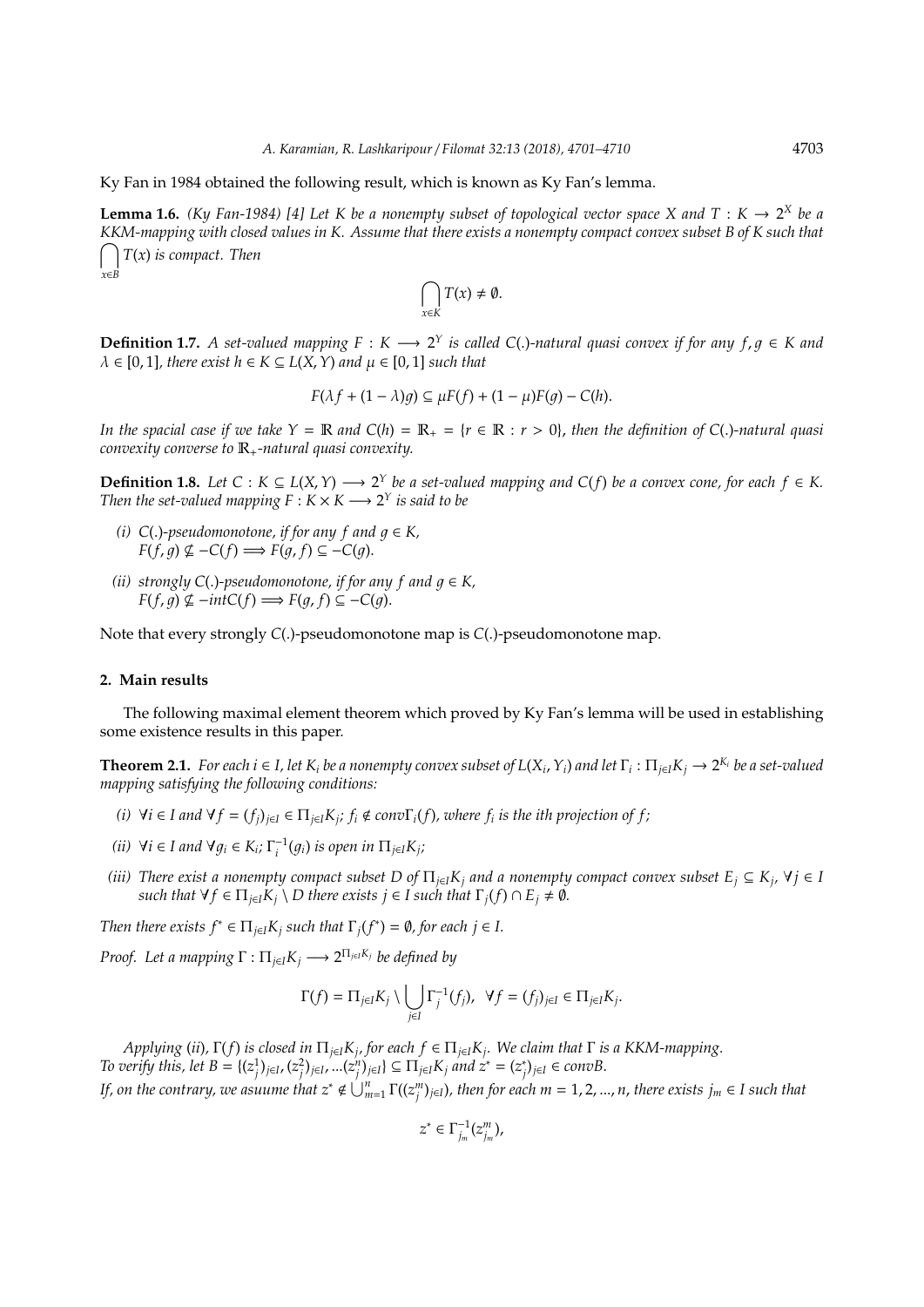Ky Fan in 1984 obtained the following result, which is known as Ky Fan's lemma.

**Lemma 1.6.** *(Ky Fan-1984)* [4] Let K be a nonempty subset of topological vector space X and T :  $K \to 2^X$  be a *KKM-mapping with closed values in K. Assume that there exists a nonempty compact convex subset B of K such that* \ *T*(*x*) *is compact. Then x*∈*B*

$$
\bigcap_{x\in K}T(x)\neq\emptyset.
$$

**Definition 1.7.** A set-valued mapping  $F : K \longrightarrow 2^Y$  is called C(.)-natural quasi convex if for any  $f, g \in K$  and  $\lambda \in [0, 1]$ , there exist  $h \in K \subseteq L(X, Y)$  and  $\mu \in [0, 1]$  such that

$$
F(\lambda f + (1 - \lambda)g) \subseteq \mu F(f) + (1 - \mu)F(g) - C(h).
$$

*In the spacial case if we take*  $Y = \mathbb{R}$  *and*  $C(h) = \mathbb{R}_+ = \{r \in \mathbb{R} : r > 0\}$ , *then the definition of*  $C(.)$ *-natural quasi convexity converse to* R+*-natural quasi convexity.*

**Definition 1.8.** *Let*  $C$  :  $K \subseteq L(X, Y)$  →  $2^Y$  *be a set-valued mapping and*  $C(f)$  *be a convex cone, for each*  $f \in K$ . *Then the set-valued mapping*  $F : K \times K \longrightarrow 2^Y$  *is said to be* 

- *(i)*  $C(.)$ -pseudomonotone, if for any f and  $g \in K$ , *F*(*f*, *q*) ⊈ −*C*(*f*)  $\implies$  *F*(*q*, *f*) ⊆ −*C*(*q*).
- *(ii)* strongly C(.)-pseudomonotone, if for any f and  $q \in K$ , *F*(*f*, *g*)  $\nsubseteq$  −*intC*(*f*)  $\implies$  *F*(*g*, *f*) ⊆ −*C*(*g*).

Note that every strongly *C*(.)-pseudomonotone map is *C*(.)-pseudomonotone map.

#### **2. Main results**

The following maximal element theorem which proved by Ky Fan's lemma will be used in establishing some existence results in this paper.

**Theorem 2.1.** For each  $i \in I$ , let  $K_i$  be a nonempty convex subset of  $L(X_i, Y_i)$  and let  $\Gamma_i : \Pi_{j \in I} K_j \to 2^{K_i}$  be a set-valued *mapping satisfying the following conditions:*

- (i)  $\forall i \in I$  and  $\forall f = (f_i)_{i \in I} \in \Pi_{i \in I} K_i$ ;  $f_i \notin conv \Gamma_i(f)$ , where  $f_i$  is the ith projection of f;
- *(ii)*  $\forall i \in I$  and  $\forall g_i \in K_i$ ;  $\Gamma_i^{-1}(g_i)$  is open in  $\Pi_{j \in I} K_j$ ;
- *(iii)* There exist a nonempty compact subset D of  $\Pi_{j\in I}K_j$  and a nonempty compact convex subset  $E_j \subseteq K_j$ ,  $\forall j \in I$ *such that*  $\forall f \in \Pi_{i \in I} K_i \setminus D$  *there exists*  $j \in I$  *such that*  $\Gamma_i(f) \cap E_i \neq \emptyset$ *.*

*Then there exists*  $f^* \in \Pi_{j \in I} K_j$  *such that*  $\Gamma_j(f^*) = \emptyset$ , for each  $j \in I$ .

*Proof.* Let a mapping  $\Gamma : \Pi_{j \in I} K_j \longrightarrow 2^{\Pi_{j \in I} K_j}$  be defined by

$$
\Gamma(f) = \Pi_{j\in I} K_j \setminus \bigcup_{j\in I} \Gamma_j^{-1}(f_j), \ \ \forall f = (f_j)_{j\in I} \in \Pi_{j\in I} K_j.
$$

*Applying* (*ii*)*,* Γ(*f*) *is closed in* Π*j*∈*IK<sup>j</sup> , for each f* ∈ Π*j*∈*IK<sup>j</sup> . We claim that* Γ *is a KKM-mapping.* To verify this, let  $B = \{(z_j^1)_{j \in I}, (z_j^2)_{j \in I}, ...(z_j^n)_{j \in I}\} \subseteq \Pi_{j \in I} K_j$  and  $z^* = (z_j^*)$ *j* )*j*∈*<sup>I</sup>* ∈ *convB*. *If, on the contrary, we asuume that*  $z^*\notin\bigcup_{m=1}^n\Gamma((z_j^m)_{j\in I})$ *, then for each*  $m=1,2,...,n$ *, there exists*  $j_m\in I$  *such that* 

$$
z^*\in\Gamma_{j_m}^{-1}(z_{j_m}^m),
$$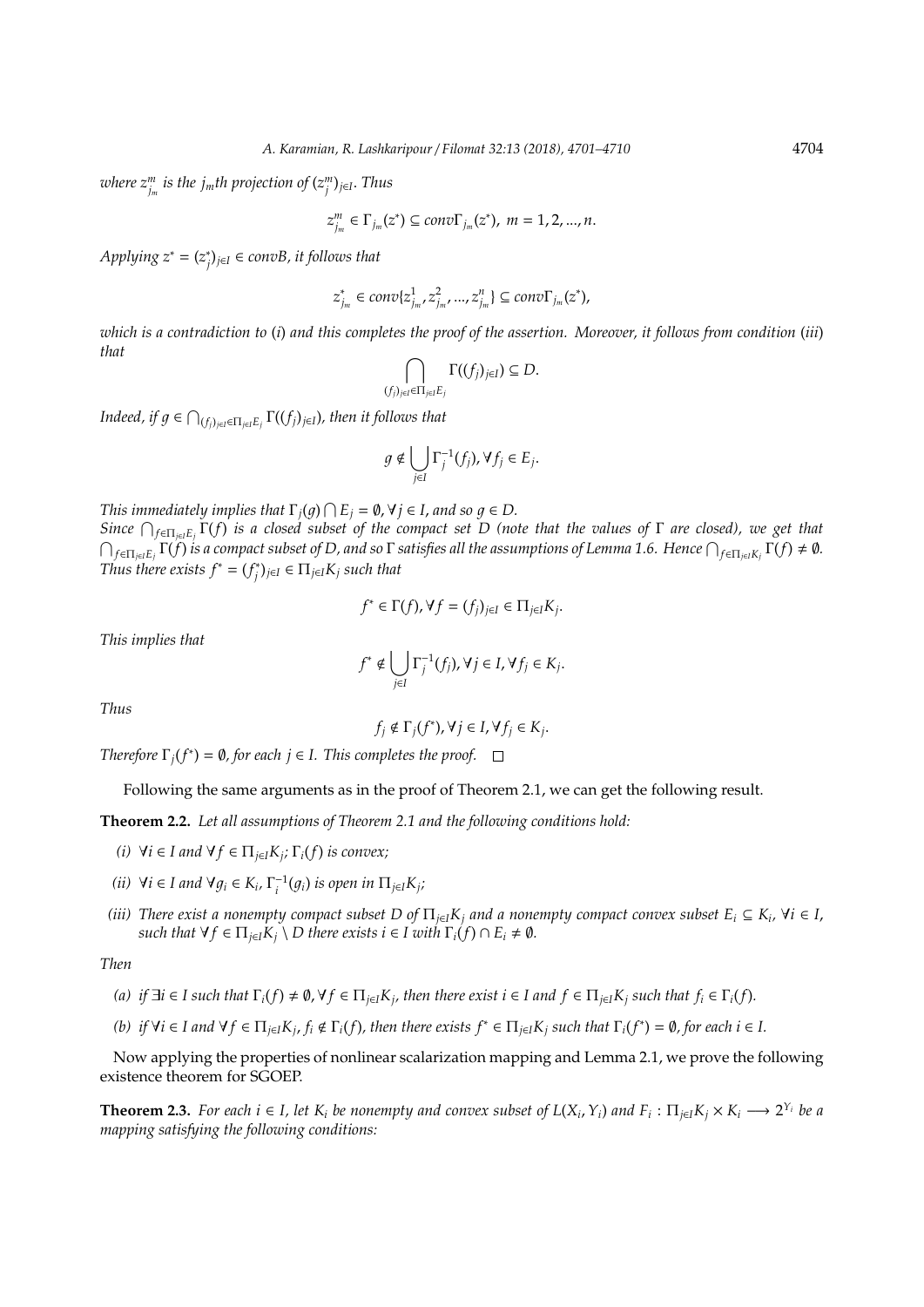$\mathit{where} \ z^m_{j_m} \ \textit{is the $j_m$th projection of $(z^m_j)_{j \in I}$. Thus}$ 

$$
z_{j_m}^m \in \Gamma_{j_m}(z^*) \subseteq conv\Gamma_{j_m}(z^*), m = 1, 2, ..., n.
$$

*Applying z*<sup>∗</sup> = (*z* ∗ *j* )*j*∈*<sup>I</sup>* ∈ *convB, it follows that*

$$
z_{j_m}^* \in conv\{z_{j_m}^1, z_{j_m}^2, ..., z_{j_m}^n\} \subseteq conv\Gamma_{j_m}(z^*),
$$

*which is a contradiction to* (*i*) *and this completes the proof of the assertion. Moreover, it follows from condition* (*iii*) *that*

$$
\bigcap_{(f_j)_{j\in I}\in\Pi_{j\in I}E_j}\Gamma((f_j)_{j\in I})\subseteq D.
$$

*Indeed, if*  $g \in \bigcap_{(f_j)_{j \in I} \in \prod_{j \in I} E_j} \Gamma((f_j)_{j \in I})$ *, then it follows that* 

$$
g \notin \bigcup_{j \in I} \Gamma_j^{-1}(f_j), \forall f_j \in E_j.
$$

*This immediately implies that*  $\Gamma_j(g) \cap E_j = \emptyset$ ,  $\forall j \in I$ , and so  $g \in D$ .

*Since* T *f*∈Π*j*∈*IE<sup>j</sup>* Γ(*f*) *is a closed subset of the compact set D (note that the values of* Γ *are closed), we get that*  $\bigcap_{f\in\Pi_{j\in I}E_j}\Gamma(\tilde{f})$  is a compact subset of D, and so  $\Gamma$  satisfies all the assumptions of Lemma 1.6. Hence  $\bigcap_{f\in\Pi_{j\in I}K_j}\Gamma(f)\neq\emptyset.$ *Thus there exists*  $f^* = (f_i^*)$ *j* )*j*∈*<sup>I</sup>* ∈ Π*j*∈*IK<sup>j</sup> such that*

$$
f^* \in \Gamma(f), \forall f = (f_j)_{j \in I} \in \Pi_{j \in I} K_j.
$$

*This implies that*

$$
f^* \notin \bigcup_{j \in I} \Gamma_j^{-1}(f_j), \forall j \in I, \forall f_j \in K_j.
$$

*Thus*

$$
f_j \notin \Gamma_j(f^*), \forall j \in I, \forall f_j \in K_j.
$$

*Therefore*  $\Gamma_j(f^*) = \emptyset$ , for each  $j \in I$ . *This completes the proof.* 

Following the same arguments as in the proof of Theorem 2.1, we can get the following result.

**Theorem 2.2.** *Let all assumptions of Theorem 2.1 and the following conditions hold:*

- *(i)*  $\forall i \in I$  and  $\forall f \in \Pi_{j \in I} K_j$ ;  $\Gamma_i(f)$  *is convex*;
- *(ii)*  $\forall i \in I$  and  $\forall g_i \in K_i$ ,  $\Gamma_i^{-1}(g_i)$  is open in  $\Pi_{j \in I} K_j$ ;
- *(iii)* There exist a nonempty compact subset D of  $\Pi_{j\in I}K_j$  and a nonempty compact convex subset  $E_i\subseteq K_i$ ,  $\forall i\in I$ , *such that*  $\forall f \in \Pi_{j \in I} K_j \setminus D$  *there exists i*  $\in I$  *with*  $\Gamma_i(f) \cap E_i \neq \emptyset$ *.*

*Then*

- (a) if  $\exists i \in I$  such that  $\Gamma_i(f) \neq \emptyset$ ,  $\forall f \in \Pi_{j \in I} K_j$ , then there exist  $i \in I$  and  $f \in \Pi_{j \in I} K_j$  such that  $f_i \in \Gamma_i(f)$ .
- (b) if  $\forall i \in I$  and  $\forall f \in \Pi_{j \in I} K_j$ ,  $f_i \notin \Gamma_i(f)$ , then there exists  $f^* \in \Pi_{j \in I} K_j$  such that  $\Gamma_i(f^*) = \emptyset$ , for each  $i \in I$ .

Now applying the properties of nonlinear scalarization mapping and Lemma 2.1, we prove the following existence theorem for SGOEP.

**Theorem 2.3.** For each  $i \in I$ , let  $K_i$  be nonempty and convex subset of  $L(X_i, Y_i)$  and  $F_i: \Pi_{j \in I} K_j \times K_i \longrightarrow 2^{Y_i}$  be a *mapping satisfying the following conditions:*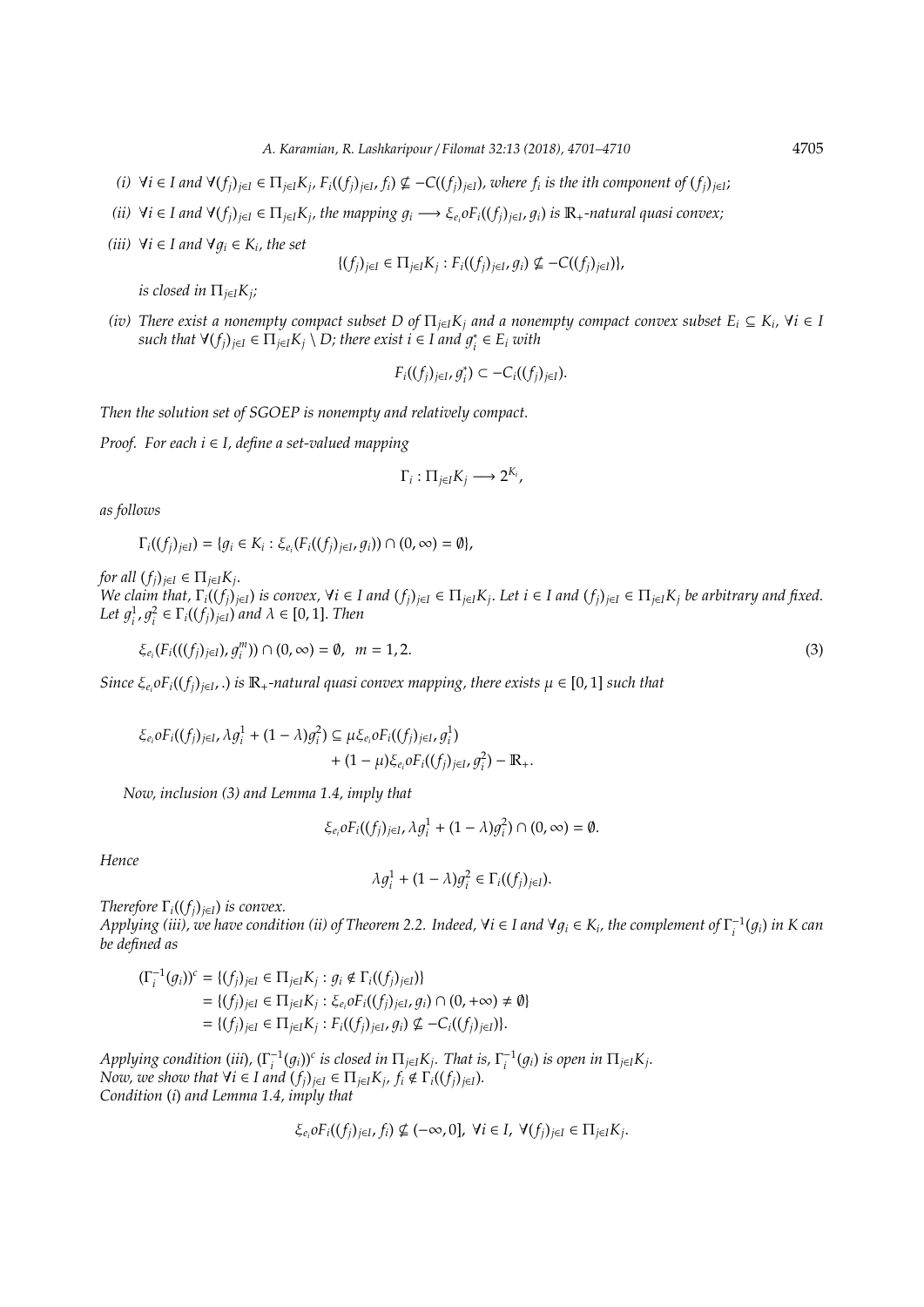- (i)  $\forall i \in I$  and  $\forall (f_j)_{j \in I} \in \Pi_{j \in I} K_j$ ,  $F_i((f_j)_{j \in I}, f_i) \nsubseteq -C((f_j)_{j \in I})$ , where  $f_i$  is the ith component of  $(f_j)_{j \in I}$ ;
- (ii)  $\forall i \in I$  and  $\forall (f_j)_{j \in I} \in \Pi_{j \in I} K_j$ , the mapping  $g_i \longrightarrow \xi_{e_i} \circ F_i((f_j)_{j \in I}, g_i)$  is  $\mathbb{R}_+$ -natural quasi convex;
- $(iii) \ \forall i \in I$  and  $\forall g_i \in K_i$ , the set

$$
\{(f_j)_{j \in I} \in \Pi_{j \in I} K_j : F_i((f_j)_{j \in I}, g_i) \nsubseteq -C((f_j)_{j \in I})\},\
$$

*is closed in* Π*j*∈*IK<sup>j</sup> ;*

*(iv)* There exist a nonempty compact subset D of  $\Pi_{j\in I}K_j$  and a nonempty compact convex subset  $E_i \subseteq K_i$ ,  $\forall i \in I$  $s$ uch that  $\forall (f_j)_{j \in I} \in \Pi_{j \in I} K_j \setminus D$ ; there exist  $i \in I$  and  $g_i^*$  $E_i^* \in E_i$  *with* 

$$
F_i((f_j)_{j\in I}, g_i^*)\subset -C_i((f_j)_{j\in I}).
$$

*Then the solution set of SGOEP is nonempty and relatively compact.*

*Proof. For each i* ∈ *I, define a set-valued mapping*

$$
\Gamma_i:\Pi_{j\in I}K_j\longrightarrow 2^{K_i},
$$

*as follows*

$$
\Gamma_i((f_j)_{j\in I})=\{g_i\in K_i:\xi_{e_i}(F_i((f_j)_{j\in I},g_i))\cap(0,\infty)=\emptyset\},\
$$

*for all*  $(f_j)_{j \in I} \in \Pi_{j \in I} K_j$ .

We claim that,  $\Gamma_i((f_j)_{j\in I})$  is convex,  $\forall i\in I$  and  $(f_j)_{j\in I}\in \Pi_{j\in I} K_j$ . Let  $i\in I$  and  $(f_j)_{j\in I}\in \Pi_{j\in I} K_j$  be arbitrary and fixed. Let  $g_i^1$ ,  $g_i^2 \in \Gamma_i((f_j)_{j \in I})$  and  $\lambda \in [0, 1]$ . *Then* 

$$
\xi_{e_i}(F_i(((f_j)_{j\in I}), g_i^m)) \cap (0, \infty) = \emptyset, \ \ m = 1, 2. \tag{3}
$$

*Since*  $\xi_{e_i}$ *oF*<sub>*i*</sub>((*f<sub>j</sub>*)<sub>*j*∈*I*</sub>, *) is*  $\mathbb{R}_+$ *-natural quasi convex mapping, there exists*  $\mu \in [0, 1]$  *such that* 

$$
\begin{aligned} \xi_{e_i} \text{or} F_i((f_j)_{j \in I}, \lambda g_i^1 + (1 - \lambda) g_i^2) &\subseteq \mu \xi_{e_i} \text{or} F_i((f_j)_{j \in I}, g_i^1) \\ &+ (1 - \mu) \xi_{e_i} \text{or} F_i((f_j)_{j \in I}, g_i^2) - \mathbb{R}_+.\end{aligned}
$$

*Now, inclusion (3) and Lemma 1.4, imply that*

$$
\xi_{e_i}oF_i((f_j)_{j\in I}, \lambda g_i^1+(1-\lambda)g_i^2)\cap (0, \infty)=\emptyset.
$$

*Hence*

$$
\lambda g_i^1 + (1 - \lambda) g_i^2 \in \Gamma_i((f_j)_{j \in I}).
$$

*Therefore*  $\Gamma_i$ ( $(f_i)_{i \in I}$ ) *is convex.* 

 $Applying (iii)$ , we have condition (ii) of Theorem 2.2. Indeed,  $\forall i \in I$  and  $\forall g_i \in K_i$ , the complement of  $\Gamma_i^{-1}(g_i)$  in K can *be defined as*

$$
\begin{aligned} (\Gamma_i^{-1}(g_i))^c &= \{ (f_j)_{j \in I} \in \Pi_{j \in I} K_j : g_i \notin \Gamma_i((f_j)_{j \in I}) \} \\ &= \{ (f_j)_{j \in I} \in \Pi_{j \in I} K_j : \xi_{e_i} \circ F_i((f_j)_{j \in I}, g_i) \cap (0, +\infty) \neq \emptyset \} \\ &= \{ (f_j)_{j \in I} \in \Pi_{j \in I} K_j : F_i((f_j)_{j \in I}, g_i) \nsubseteq -C_i((f_j)_{j \in I}) \}. \end{aligned}
$$

Applying condition (iii),  $(\Gamma_i^{-1}(g_i))^c$  is closed in  $\Pi_{j\in I}K_j$ . That is,  $\Gamma_i^{-1}(g_i)$  is open in  $\Pi_{j\in I}K_j$ . *Now, we show that*  $\forall i \in I$  *and*  $(f_j)_{j \in I} \in \Pi_{j \in I} K_j$ ,  $f_i \notin \Gamma_i((f_j)_{j \in I})$ *. Condition* (*i*) *and Lemma 1.4, imply that*

$$
\xi_{e_i} \text{ of } I_i((f_j)_{j\in I}, f_i) \nsubseteq (-\infty, 0], \forall i \in I, \forall (f_j)_{j\in I} \in \Pi_{j\in I} K_j.
$$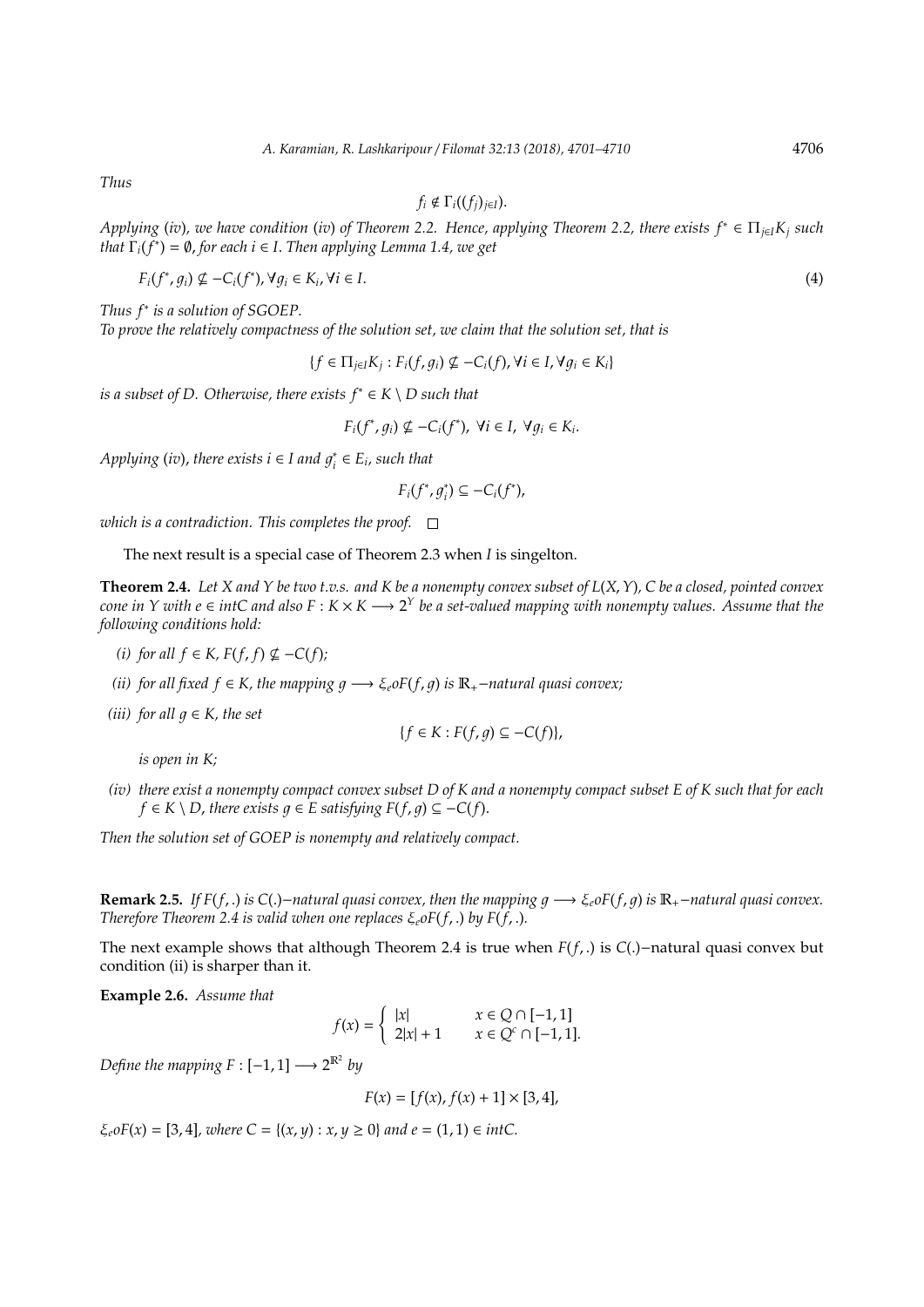*Thus*

$$
f_i \notin \Gamma_i((f_j)_{j \in I}).
$$

*Applying* (*iv*)*, we have condition* (*iv*) *of Theorem 2.2. Hence, applying Theorem 2.2, there exists f*<sup>∗</sup> ∈ Π*j*∈*IK<sup>j</sup> such that* Γ*i*(*f* ∗ ) = ∅, *for each i* ∈ *I*. *Then applying Lemma 1.4, we get*

$$
F_i(f^*, g_i) \nsubseteq -C_i(f^*), \forall g_i \in K_i, \forall i \in I.
$$
\n
$$
(4)
$$

*Thus f*<sup>∗</sup> *is a solution of SGOEP.*

*To prove the relatively compactness of the solution set, we claim that the solution set, that is*

 ${f \in \Pi_{j \in I} K_j : F_i(f, g_i) \nsubseteq -C_i(f), \forall i \in I, \forall g_i \in K_i}$ 

*is a subset of D. Otherwise, there exists f*<sup>∗</sup> ∈ *K* \ *D such that*

$$
F_i(f^*, g_i) \nsubseteq -C_i(f^*), \ \forall i \in I, \ \forall g_i \in K_i.
$$

*Applying* (*iv*), *there exists*  $i \in I$  *and*  $g_i^*$  $E_i^* \in E_i$ , such that

$$
F_i(f^*, g_i^*) \subseteq -C_i(f^*),
$$

*which is a contradiction. This completes the proof.*

The next result is a special case of Theorem 2.3 when *I* is singelton.

**Theorem 2.4.** *Let X and Y be two t.v.s. and K be a nonempty convex subset of L*(*X*,*Y*)*, C be a closed, pointed convex cone in Y with e* ∈ *intC and also F* :  $K$   $\times$   $K$   $\longrightarrow$  2<sup>Y</sup> *be a set-valued mapping with nonempty values. Assume that the following conditions hold:*

- *(i)* for all  $f$  ∈  $K$ ,  $F(f, f)$   $⊈$  −*C*( $f$ );
- *(ii) for all fixed f* ∈ *K, the mapping g*  $\longrightarrow \xi_e$ *oF*(*f, g*) *is*  $\mathbb{R}_+$ -*natural quasi convex*;
- *(iii)* for all  $q \in K$ , the set

*is open in K;*

*(iv) there exist a nonempty compact convex subset D of K and a nonempty compact subset E of K such that for each f* ∈ *K* \ *D*, *there exists*  $q$  ∈ *E satisfying F*(*f*,  $q$ ) ⊆ −*C*(*f*).

 ${f \in K : F(f, q) \subseteq -C(f)}$ 

*Then the solution set of GOEP is nonempty and relatively compact.*

**Remark 2.5.** *If F(f, .) is* C(.)−*natural quasi convex, then the mapping*  $g \rightarrow \xi_e$ oF(*f, g) is*  $\mathbb{R}_+$ −*natural quasi convex. Therefore Theorem 2.4 is valid when one replaces*  $\xi_e$ *oF*(*f*, *.*) *by F*(*f*, *.*).

The next example shows that although Theorem 2.4 is true when *F*(*f*, .) is *C*(.)−natural quasi convex but condition (ii) is sharper than it.

**Example 2.6.** *Assume that*

$$
f(x) = \begin{cases} |x| & x \in Q \cap [-1, 1] \\ 2|x| + 1 & x \in Q^c \cap [-1, 1]. \end{cases}
$$

*Define the mapping*  $F : [-1, 1] \longrightarrow 2^{\mathbb{R}^2}$  by

$$
F(x) = [f(x), f(x) + 1] \times [3, 4],
$$

 $\xi_e$  *oF*(*x*) = [3, 4]*, where*  $C = \{(x, y) : x, y \ge 0\}$  *and*  $e = (1, 1) \in intC$ .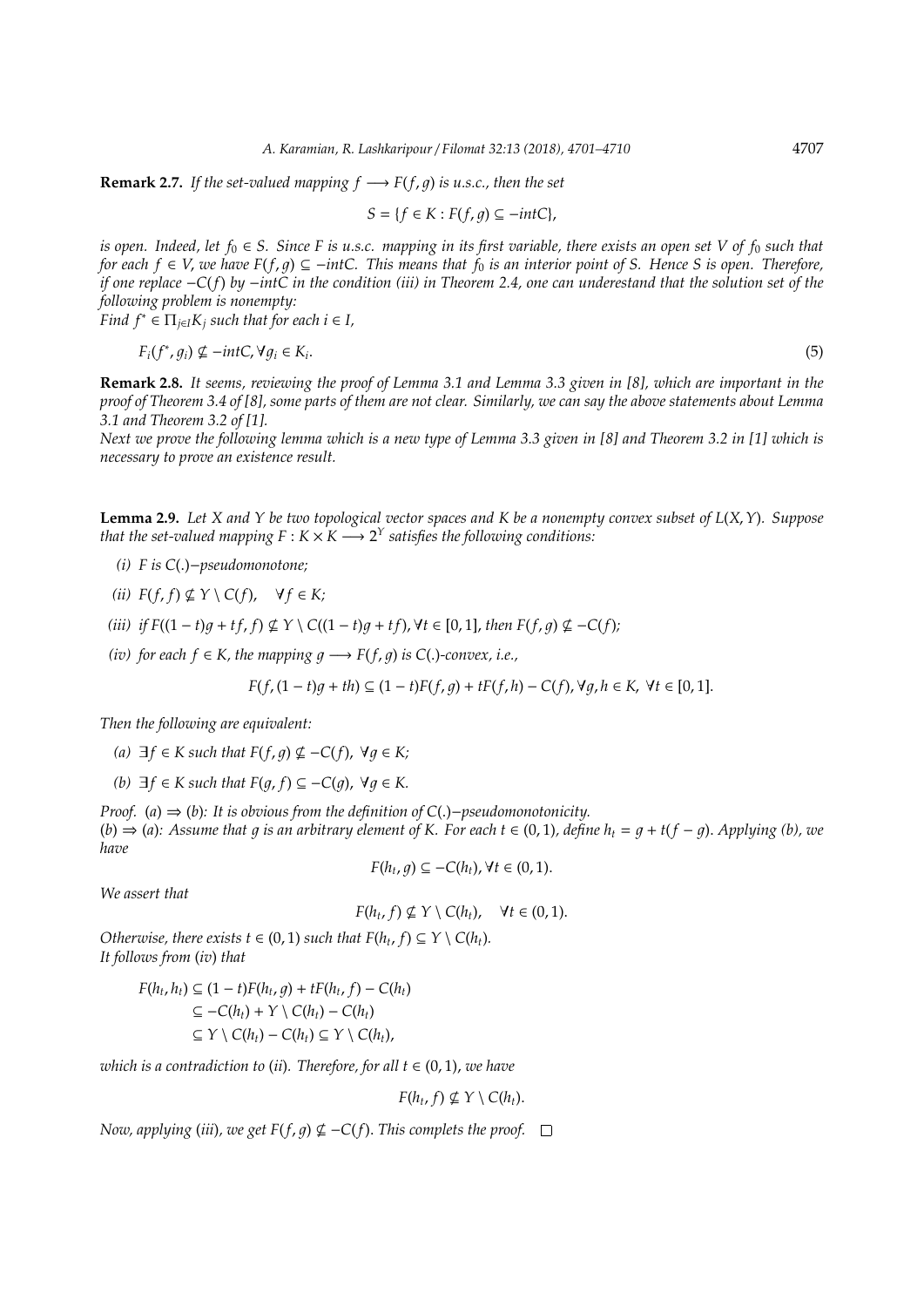**Remark 2.7.** *If the set-valued mapping*  $f \rightarrow F(f, g)$  *is u.s.c., then the set* 

$$
S = \{ f \in K : F(f, g) \subseteq -intC \},\
$$

*is open. Indeed, let*  $f_0 \in S$ . Since F is u.s.c. mapping in its first variable, there exists an open set V of  $f_0$  such that *for each f* ∈ *V*, *we have F*(*f*, 1) ⊆ −*intC. This means that f*<sup>0</sup> *is an interior point of S. Hence S is open. Therefore, if one replace* −*C*(*f*) *by* −*intC in the condition (iii) in Theorem 2.4, one can underestand that the solution set of the following problem is nonempty:*

*Find*  $f^* \in \prod_{i \in I} K_i$  *such that for each i*  $\in I$ *,* 

$$
F_i(f^*, g_i) \nsubseteq -intC, \forall g_i \in K_i.
$$
\n
$$
(5)
$$

**Remark 2.8.** *It seems, reviewing the proof of Lemma 3.1 and Lemma 3.3 given in [8], which are important in the proof of Theorem 3.4 of [8], some parts of them are not clear. Similarly, we can say the above statements about Lemma 3.1 and Theorem 3.2 of [1].*

*Next we prove the following lemma which is a new type of Lemma 3.3 given in [8] and Theorem 3.2 in [1] which is necessary to prove an existence result.*

**Lemma 2.9.** *Let X and Y be two topological vector spaces and K be a nonempty convex subset of L*(*X*, *Y*)*. Suppose that the set-valued mapping*  $F : K \times K \longrightarrow 2^Y$  satisfies the following conditions:

- *(i) F is C*(.)−*pseudomonotone;*
- *(ii)*  $F(f, f) \nsubseteq Y \setminus C(f)$ ,  $\forall f \in K;$
- (*iii*) *if*  $F((1-t)q + tf, f) ⊈ Y \setminus C((1-t)q + tf)$ ,  $\forall t \in [0,1]$ , *then*  $F(f,q) ⊆ -C(f)$ ;
- *(iv)* for each  $f \in K$ , the mapping  $q \rightarrow F(f, q)$  is C(.)-convex, i.e.,

$$
F(f, (1-t)g + th) \subseteq (1-t)F(f, g) + tF(f, h) - C(f), \forall g, h \in K, \forall t \in [0, 1].
$$

*Then the following are equivalent:*

- *(a)*  $\exists f \in K$  *such that*  $F(f, q) \nsubseteq$  −*C*(*f*),  $\forall q \in K$ ;
- *(b)*  $\exists f \in K$  such that  $F(q, f) \subseteq -C(q)$ ,  $\forall q \in K$ .

*Proof.* (*a*) ⇒ (*b*)*: It is obvious from the definition of C*(.)−*pseudomonotonicity.*  $(b) \Rightarrow (a)$ : Assume that q is an arbitrary element of K. For each  $t \in (0, 1)$ , define  $h_t = q + t(f - q)$ . Applying (b), we *have*

 $F(h_t, g) \subseteq -C(h_t), \forall t \in (0, 1).$ 

*We assert that*

$$
F(h_t, f) \nsubseteq Y \setminus C(h_t), \quad \forall t \in (0, 1).
$$

*Otherwise, there exists*  $t \in (0, 1)$  *such that*  $F(h_t, f) \subseteq Y \setminus C(h_t)$ *. It follows from* (*iv*) *that*

$$
F(h_t, h_t) \subseteq (1 - t)F(h_t, g) + tF(h_t, f) - C(h_t)
$$
  
\n
$$
\subseteq -C(h_t) + Y \setminus C(h_t) - C(h_t)
$$
  
\n
$$
\subseteq Y \setminus C(h_t) - C(h_t) \subseteq Y \setminus C(h_t),
$$

*which is a contradiction to (ii). Therefore, for all*  $t \in (0, 1)$ *, we have* 

 $F(h_t, f) \nsubseteq Y \setminus C(h_t).$ 

*Now, applying* (*iii*)*, we get*  $F(f, q) \nsubseteq -C(f)$ . *This complets the proof.*  $\Box$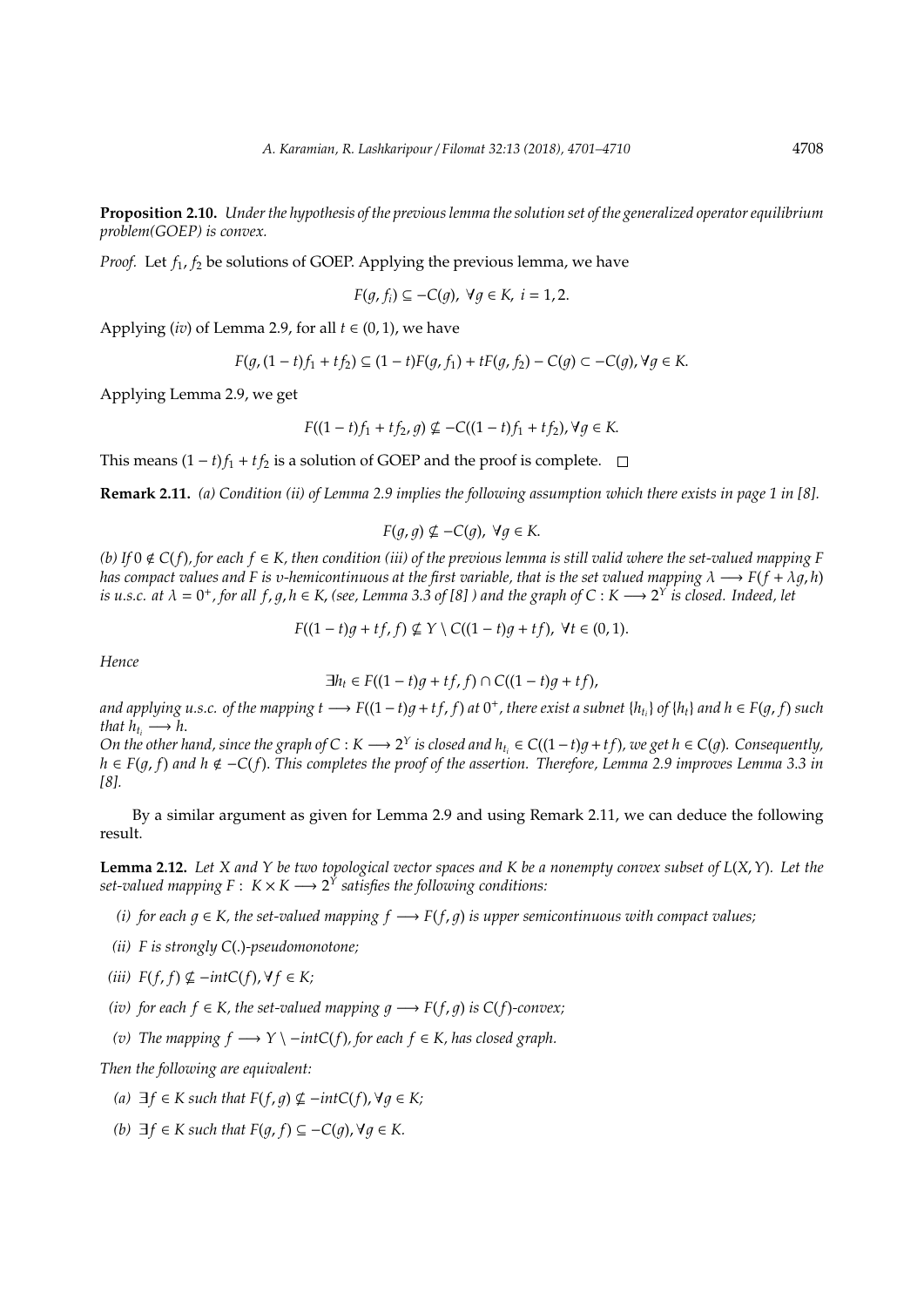**Proposition 2.10.** *Under the hypothesis of the previous lemma the solution set of the generalized operator equilibrium problem(GOEP) is convex.*

*Proof.* Let  $f_1$ ,  $f_2$  be solutions of GOEP. Applying the previous lemma, we have

$$
F(g, f_i) \subseteq -C(g), \ \forall g \in K, \ i = 1, 2.
$$

Applying (*iv*) of Lemma 2.9, for all  $t \in (0, 1)$ , we have

$$
F(g, (1-t)f_1 + tf_2) \subseteq (1-t)F(g, f_1) + tF(g, f_2) - C(g) \subset -C(g), \forall g \in K.
$$

Applying Lemma 2.9, we get

$$
F((1-t)f_1 + tf_2, g) \nsubseteq -C((1-t)f_1 + tf_2), \forall g \in K.
$$

This means  $(1 - t)f_1 + tf_2$  is a solution of GOEP and the proof is complete.  $□$ 

**Remark 2.11.** *(a) Condition (ii) of Lemma 2.9 implies the following assumption which there exists in page 1 in [8].*

$$
F(g,g) \nsubseteq -C(g), \ \forall g \in K.
$$

*(b) If* 0 < *C*(*f*)*, for each f* ∈ *K, then condition (iii) of the previous lemma is still valid where the set-valued mapping F has compact values and F is v-hemicontinuous at the first variable, that is the set valued mapping*  $\lambda \longrightarrow F(f + \lambda q, h)$ *is u.s.c. at*  $\lambda = 0^+$ , for all  $f$ ,  $g$ ,  $h \in K$ , (see, Lemma 3.3 of [8] ) and the graph of C : K  $\longrightarrow$  2<sup>Y</sup> is closed. Indeed, let

$$
F((1-t)g + tf, f) \nsubseteq Y \setminus C((1-t)g + tf), \forall t \in (0,1).
$$

*Hence*

$$
\exists h_t \in F((1-t)g + tf, f) \cap C((1-t)g + tf),
$$

and applying u.s.c. of the mapping  $t\to F((1-t)g+tf,f)$  at  $0^+$ , there exist a subnet  $\{h_{t_i}\}$  of  $\{h_t\}$  and  $h\in F(g,f)$  such *that*  $h_t \rightarrow h$ .

*On the other hand, since the graph of*  $C: K \longrightarrow 2^Y$  *is closed and h*<sub> $t_i$ </sub> ∈  $C((1-t)g + tf)$ *, we get h* ∈  $C(g)$ *.* Consequently, *h* ∈ *F*(1, *f*) *and h* < −*C*(*f*). *This completes the proof of the assertion. Therefore, Lemma 2.9 improves Lemma 3.3 in [8].*

By a similar argument as given for Lemma 2.9 and using Remark 2.11, we can deduce the following result.

**Lemma 2.12.** *Let X and Y be two topological vector spaces and K be a nonempty convex subset of L*(*X*,*Y*)*. Let the*  $set$ -valued mapping  $F: K \times K \longrightarrow 2^Y$  satisfies the following conditions:

- *(i)* for each  $q \in K$ , the set-valued mapping  $f \rightarrow F(f, q)$  is upper semicontinuous with compact values;
- *(ii) F is strongly C*(.)*-pseudomonotone;*
- $(iii)$   $F(f, f) \nsubseteq -int(C(f), \forall f \in K;$
- *(iv)* for each  $f \in K$ , the set-valued mapping  $g \rightarrow F(f, g)$  is  $C(f)$ -convex;
- *(v)* The mapping  $f$  →  $Y \setminus -int(C(f))$ , for each  $f \in K$ , has closed graph.

*Then the following are equivalent:*

- *(a)*  $\exists f \in K$  *such that*  $F(f, g) \nsubseteq -intC(f), \forall g \in K;$
- *(b)*  $\exists f \in K$  *such that*  $F(q, f) \subseteq -C(q)$ ,  $\forall q \in K$ .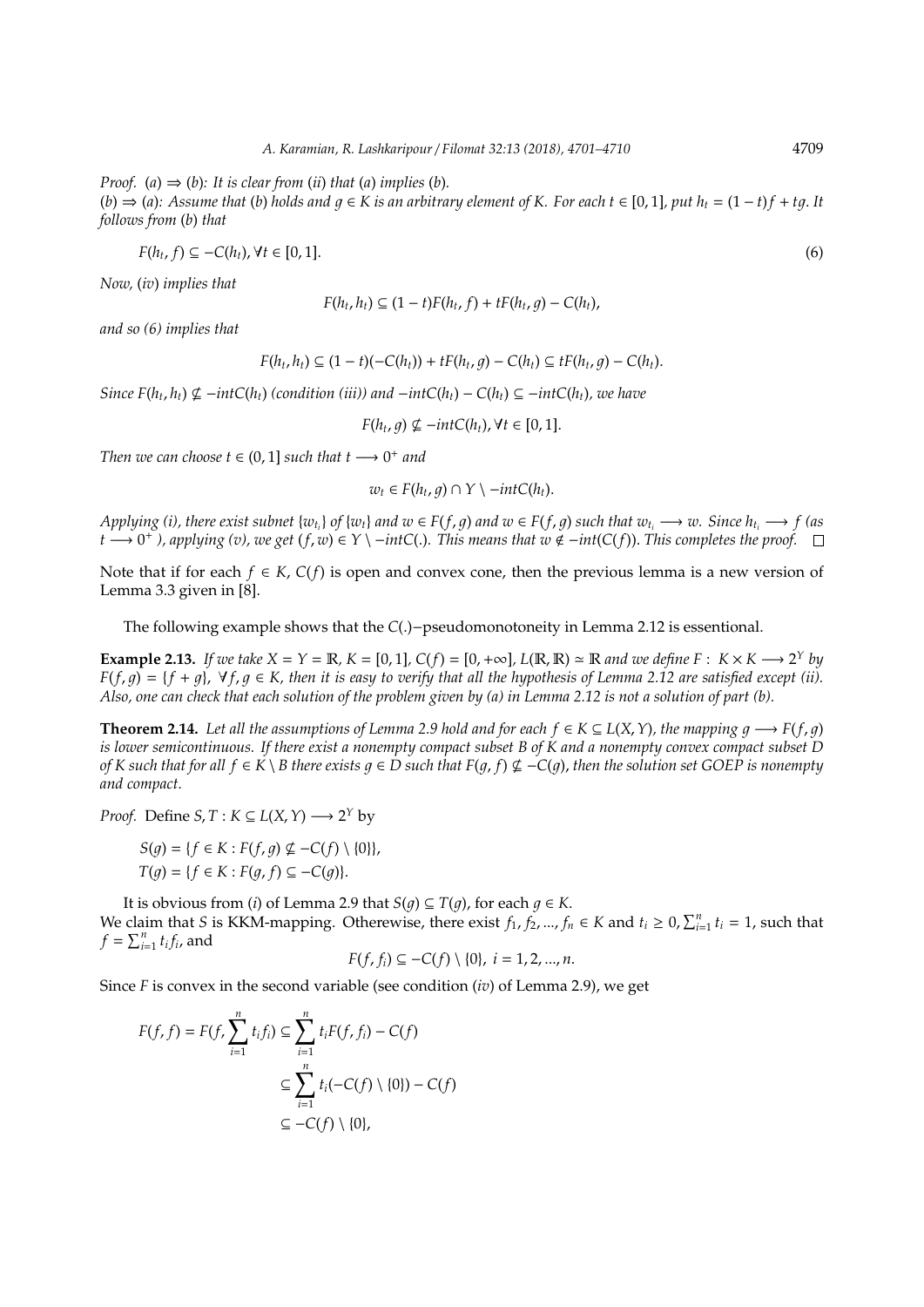*Proof.* (*a*)  $\Rightarrow$  (*b*)*:* It is clear from (*ii*) *that* (*a*) *implies* (*b*)*.* 

 $(b) \Rightarrow (a)$ : Assume that (*b*) holds and  $q \in K$  is an arbitrary element of K. For each  $t \in [0, 1]$ , put  $h_t = (1 - t)f + tq$ . It *follows from* (*b*) *that*

$$
F(h_t, f) \subseteq -C(h_t), \forall t \in [0, 1]. \tag{6}
$$

*Now,* (*iv*) *implies that*

$$
F(h_t, h_t) \subseteq (1-t)F(h_t, f) + tF(h_t, g) - C(h_t),
$$

*and so (6) implies that*

$$
F(h_t, h_t) \subseteq (1-t)(-C(h_t)) + tF(h_t, g) - C(h_t) \subseteq tF(h_t, g) - C(h_t).
$$

*Since*  $F(h_t, h_t) \nsubseteq -int(C(h_t) \text{ (condition (iii)) and } -int(C(h_t) - C(h_t) \subseteq -int(C(h_t), \text{ we have }$ 

 $F(h_t, g) \nsubseteq -intC(h_t), \forall t \in [0, 1].$ 

*Then we can choose*  $t \in (0, 1]$  *such that*  $t \rightarrow 0^+$  *and* 

$$
w_t \in F(h_t, g) \cap Y \setminus -intC(h_t).
$$

Applying (i), there exist subnet  $\{w_{t_i}\}\$  of  $\{w_t\}$  and  $w \in F(f, g)$  and  $w \in F(f, g)$  such that  $w_{t_i} \longrightarrow w$ . Since  $h_{t_i} \longrightarrow f$  (as *t* →  $0^+$  ), applying (v), we get  $(f, w) \in Y \setminus -int(C(.)$ . This means that  $w \notin -int(C(f))$ . This completes the proof.

Note that if for each *f* ∈ *K*, *C*(*f*) is open and convex cone, then the previous lemma is a new version of Lemma 3.3 given in [8].

The following example shows that the *C*(.)−pseudomonotoneity in Lemma 2.12 is essentional.

**Example 2.13.** *If we take*  $X = Y = \mathbb{R}$ *,*  $K = [0, 1]$ *,*  $C(f) = [0, +\infty]$ *,*  $L(\mathbb{R}, \mathbb{R}) \simeq \mathbb{R}$  *and we define*  $F: K \times K \longrightarrow 2^Y$  *by*  $F(f, q) = \{f + q\}$ ,  $\forall f, q \in K$ , then it is easy to verify that all the hypothesis of Lemma 2.12 are satisfied except (ii). *Also, one can check that each solution of the problem given by (a) in Lemma 2.12 is not a solution of part (b).*

**Theorem 2.14.** Let all the assumptions of Lemma 2.9 hold and for each  $f \in K \subseteq L(X, Y)$ , the mapping  $q \rightarrow F(f, q)$ *is lower semicontinuous. If there exist a nonempty compact subset B of K and a nonempty convex compact subset D of K* such that for all  $f \in K \setminus B$  there exists  $q \in D$  such that  $F(q, f) \nsubseteq C(q)$ , then the solution set GOEP is nonempty *and compact.*

*Proof.* Define *S*, *T* :  $K \subseteq L(X, Y) \longrightarrow 2^Y$  by

$$
S(g) = \{ f \in K : F(f, g) \nsubseteq -C(f) \setminus \{0\} \},
$$
  

$$
T(g) = \{ f \in K : F(g, f) \subseteq -C(g) \}.
$$

It is obvious from (*i*) of Lemma 2.9 that *S*(*g*)  $\subseteq$  *T*(*g*), for each *q*  $\in$  *K*. We claim that *S* is KKM-mapping. Otherewise, there exist  $f_1, f_2, ..., f_n \in K$  and  $t_i \ge 0, \sum_{i=1}^n t_i = 1$ , such that  $f = \sum_{i=1}^{n} t_i f_i$ , and

$$
F(f, f_i) \subseteq -C(f) \setminus \{0\}, \ i = 1, 2, ..., n.
$$

Since *F* is convex in the second variable (see condition (*iv*) of Lemma 2.9), we get

$$
F(f, f) = F(f, \sum_{i=1}^{n} t_i f_i) \subseteq \sum_{i=1}^{n} t_i F(f, f_i) - C(f)
$$

$$
\subseteq \sum_{i=1}^{n} t_i (-C(f) \setminus \{0\}) - C(f)
$$

$$
\subseteq -C(f) \setminus \{0\},
$$